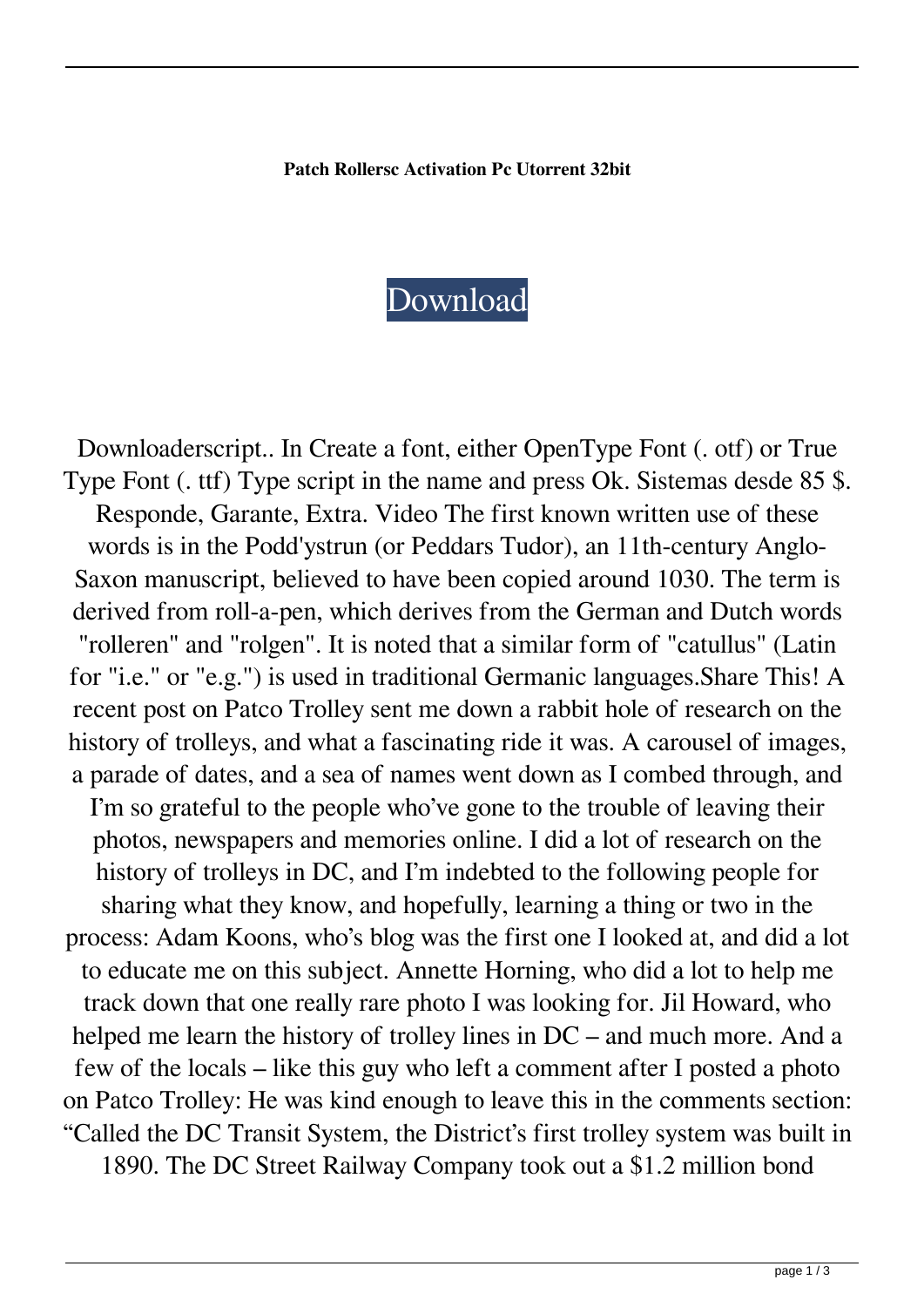**Patch Rollersc Activation Pc Utorrent 32bit**

## [Download](http://evacdir.com/ZG93bmxvYWR8U2w0TVROeWJIeDhNVFkxTWpjME1EZzJObng4TWpVM05IeDhLRTBwSUhKbFlXUXRZbXh2WnlCYlJtRnpkQ0JIUlU1ZA/doom?goedegebuur=nissan&&Um9sbGVyc2NyaXB0IEZvbnQgRnJlZSBEb3dubG9hZCBoaXQUm9=fundacio)

Downloaderscript.. In Create a font, either OpenType Font (. otf) or True Type Font (. ttf) Type script in the name and press Ok. Sistemas desde 85 \$. Responde, Garante, Extra. Video The first known written use of these words is in the Podd'ystrun (or Peddars Tudor), an 11th-century Anglo-Saxon manuscript, believed to have been copied around 1030. The term is derived from roll-a-pen, which derives from the German and Dutch words "rolleren" and "rolgen". It is noted that a similar form of "catullus" (Latin for "i.e." or "e.g.") is used in traditional Germanic languages.Share This! A recent post on Patco Trolley sent me down a rabbit hole of research on the history of trolleys, and what a fascinating ride it was. A carousel of images, a parade of dates, and a sea of names went down as I combed through, and I'm so grateful to the people who've gone to the trouble of leaving their photos, newspapers and memories online. I did a lot of research on the history of trolleys in DC, and I'm indebted to the following people for sharing what they know, and hopefully, learning a thing or two in the process: Adam Koons, who's blog was the first one I looked at, and did a lot to educate me on this subject. Annette Horning, who did a lot to help me track down that one really rare photo I was looking for. Jil Howard, who helped me learn the history of trolley lines in  $DC$  – and much more. And a few of the locals – like this guy who left a comment after I posted a photo on Patco Trolley: He was kind enough to leave this in the comments section: "Called the DC Transit System, the District's first trolley system was built in 1890. The DC Street Railway Company took out a \$1.2 million bond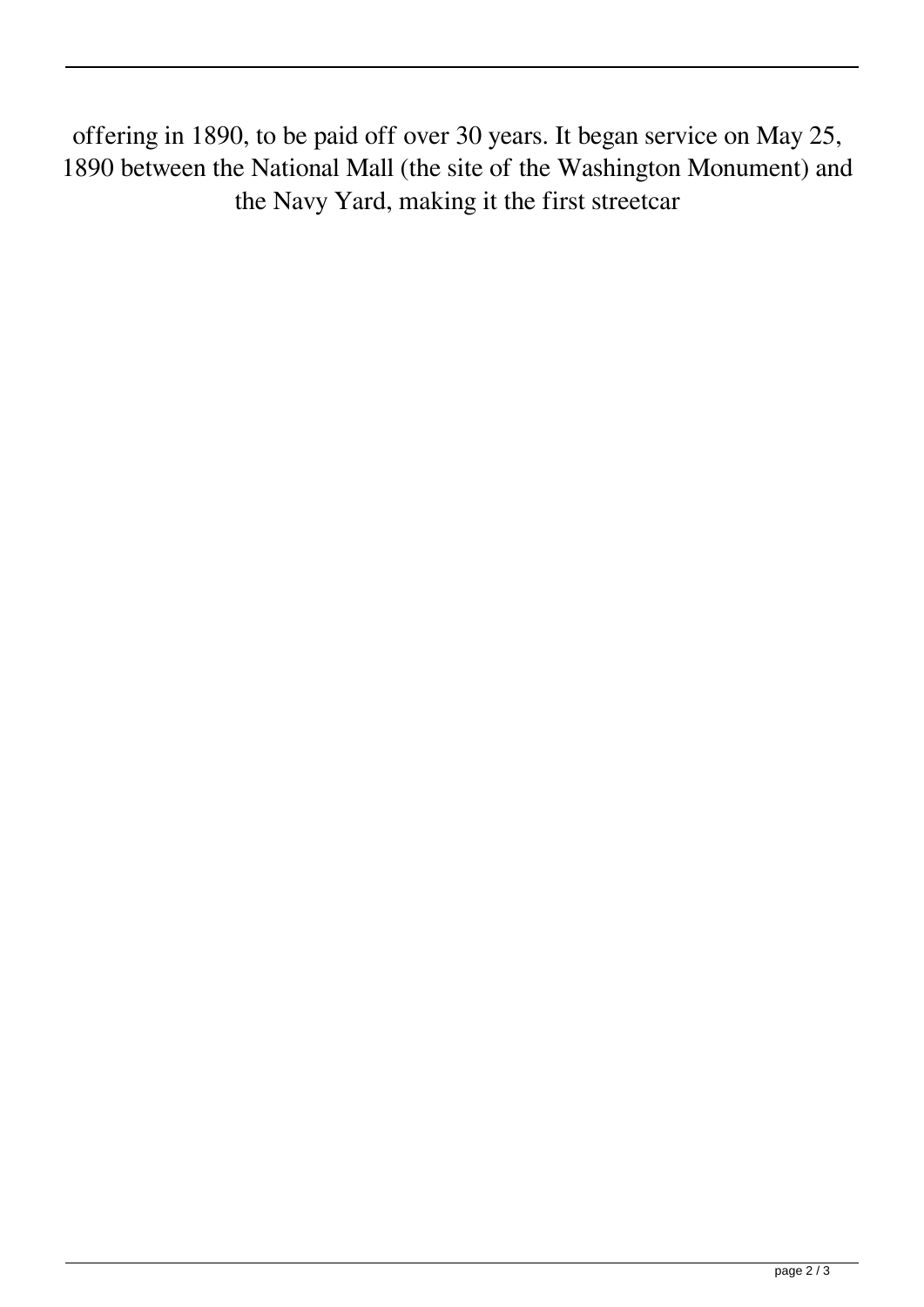offering in 1890, to be paid off over 30 years. It began service on May 25, 1890 between the National Mall (the site of the Washington Monument) and the Navy Yard, making it the first streetcar